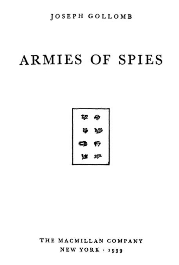JOSEPH GOLLOMB

## ARMIES OF SPIES



THE MACMILLAN COMPANY NEW YORK . 1939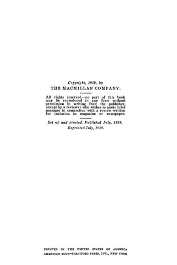## Copyright, 1939, by THE MACMILLAN COMPANY.

All rights reserved—no part of this book<br>may be reproduced in any form without<br>permission in writing from the publisher,<br>except by a reviewer who wishes to quote brief<br>passages in connection with a review written<br>for inclu

Set up and printed. Published July, 1939. Reprinted July, 1939.

PRINTED IN THE UNITED STATES OF AMERICA AMERICAN BOOK-STRATFORD FRESS, INC., NEW YORK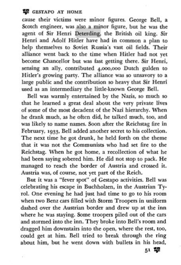## **AN GESTAPO AT HOME**

cause their victims were minor figures. George Bell, a Scotch engineer, was also a minor figure, but he was the agent of Sir Henri Deterding, the British oil king. Sir Henri and Adolf Hitler have had in common a plan to help themselves to Soviet Russia's vast oil fields. Their alliance went back to the time when Hitler had not yet become Chancellor but was fast getting there. Sir Henri, sensing an ally, contributed 4,000,000 Dutch gulden to Hitler's growing party. The alliance was so unsavory to a large public and the contribution so heavy that Sir Henri used as an intermediary the little-known George Bell.

Bell was warmly entertained by the Nazis, so much so that he learned a great deal about the very private lives of some of the most decadent of the Nazi hierarchy. When he drank much, as he often did, he talked much, too, and was likely to name names. Soon after the Reichstag fire in February, 1933, Bell added another secret to his collection. The next time he got drunk, he held forth on the theme that it was not the Communists who had set fire to the Reichstag. When he got home, a recollection of what he had been saying sobered him. He did not stop to pack. He managed to reach the border of Austria and crossed it. Austria was, of course, not yet part of the Reich.

But it was a "fever spot" of Gestapo activities. Bell was celebrating his escape in Buchholzen, in the Austrian Tyrol. One evening he had just had time to go to his room when two Benz cars filled with Storm Troopers in uniform dashed over the Austrian border and drew up at the inn where he was staying. Some troopers piled out of the cars and stormed into the inn. They broke into Bell's room and dragged him downstairs into the open, where the rest, too, could get at him. Bell tried to break through the ring about him, but he went down with bullets in his head,